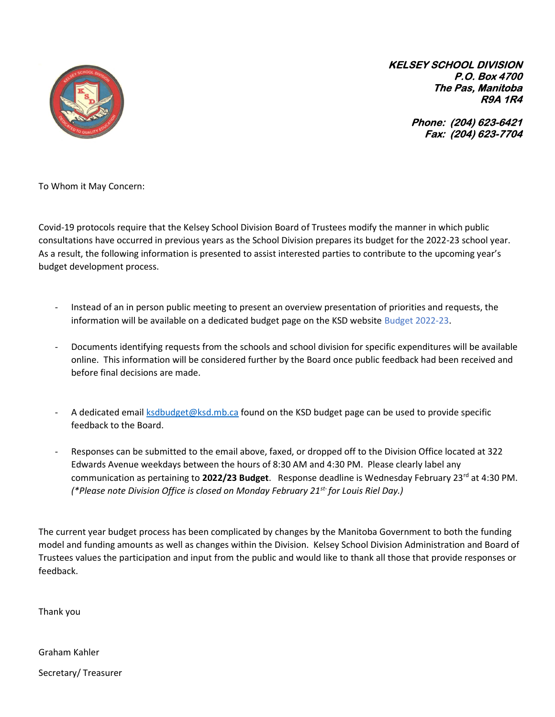

KELSEY SCHOOL DIVISION P.O. Box 4700 The Pas, Manitoba R9A 1R4

> Phone: (204) 623-6421 Fax: (204) 623-7704

To Whom it May Concern:

Covid-19 protocols require that the Kelsey School Division Board of Trustees modify the manner in which public consultations have occurred in previous years as the School Division prepares its budget for the 2022-23 school year. As a result, the following information is presented to assist interested parties to contribute to the upcoming year's budget development process.

- Instead of an in person public meeting to present an overview presentation of priorities and requests, the information will be available on a dedicated budget page on the KSD website Budget 2022-23.
- Documents identifying requests from the schools and school division for specific expenditures will be available online. This information will be considered further by the Board once public feedback had been received and before final decisions are made.
- A dedicated email **ksdbudget@ksd.mb.ca** found on the KSD budget page can be used to provide specific feedback to the Board.
- Responses can be submitted to the email above, faxed, or dropped off to the Division Office located at 322 Edwards Avenue weekdays between the hours of 8:30 AM and 4:30 PM. Please clearly label any communication as pertaining to 2022/23 Budget. Response deadline is Wednesday February 23<sup>rd</sup> at 4:30 PM. (\*Please note Division Office is closed on Monday February 21<sup>st-</sup> for Louis Riel Day.)

The current year budget process has been complicated by changes by the Manitoba Government to both the funding model and funding amounts as well as changes within the Division. Kelsey School Division Administration and Board of Trustees values the participation and input from the public and would like to thank all those that provide responses or feedback.

Thank you

Graham Kahler

Secretary/ Treasurer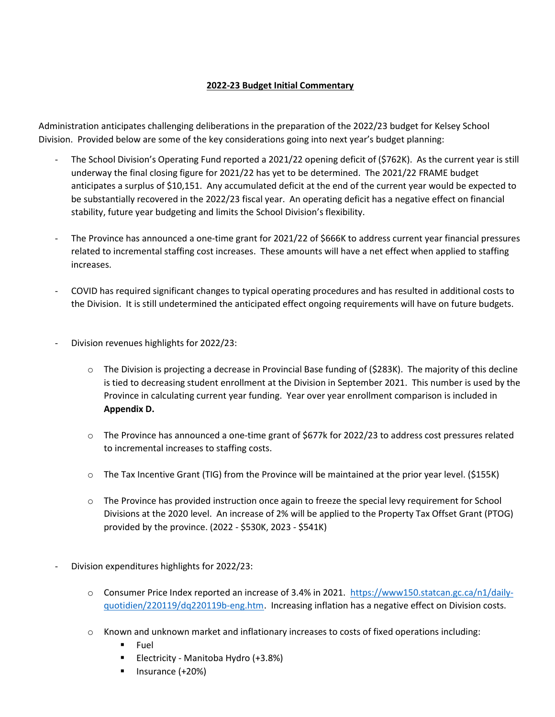## 2022-23 Budget Initial Commentary

Administration anticipates challenging deliberations in the preparation of the 2022/23 budget for Kelsey School Division. Provided below are some of the key considerations going into next year's budget planning:

- The School Division's Operating Fund reported a 2021/22 opening deficit of (\$762K). As the current year is still underway the final closing figure for 2021/22 has yet to be determined. The 2021/22 FRAME budget anticipates a surplus of \$10,151. Any accumulated deficit at the end of the current year would be expected to be substantially recovered in the 2022/23 fiscal year. An operating deficit has a negative effect on financial stability, future year budgeting and limits the School Division's flexibility.
- The Province has announced a one-time grant for 2021/22 of \$666K to address current year financial pressures related to incremental staffing cost increases. These amounts will have a net effect when applied to staffing increases.
- COVID has required significant changes to typical operating procedures and has resulted in additional costs to the Division. It is still undetermined the anticipated effect ongoing requirements will have on future budgets.
- Division revenues highlights for 2022/23:
	- $\circ$  The Division is projecting a decrease in Provincial Base funding of (\$283K). The majority of this decline is tied to decreasing student enrollment at the Division in September 2021. This number is used by the Province in calculating current year funding. Year over year enrollment comparison is included in Appendix D.
	- o The Province has announced a one-time grant of \$677k for 2022/23 to address cost pressures related to incremental increases to staffing costs.
	- $\circ$  The Tax Incentive Grant (TIG) from the Province will be maintained at the prior year level. (\$155K)
	- o The Province has provided instruction once again to freeze the special levy requirement for School Divisions at the 2020 level. An increase of 2% will be applied to the Property Tax Offset Grant (PTOG) provided by the province. (2022 - \$530K, 2023 - \$541K)
- Division expenditures highlights for 2022/23:
	- o Consumer Price Index reported an increase of 3.4% in 2021. https://www150.statcan.gc.ca/n1/dailyquotidien/220119/dq220119b-eng.htm. Increasing inflation has a negative effect on Division costs.
	- o Known and unknown market and inflationary increases to costs of fixed operations including:
		- **Fuel**
		- Electricity Manitoba Hydro (+3.8%)
		- $\blacksquare$  Insurance (+20%)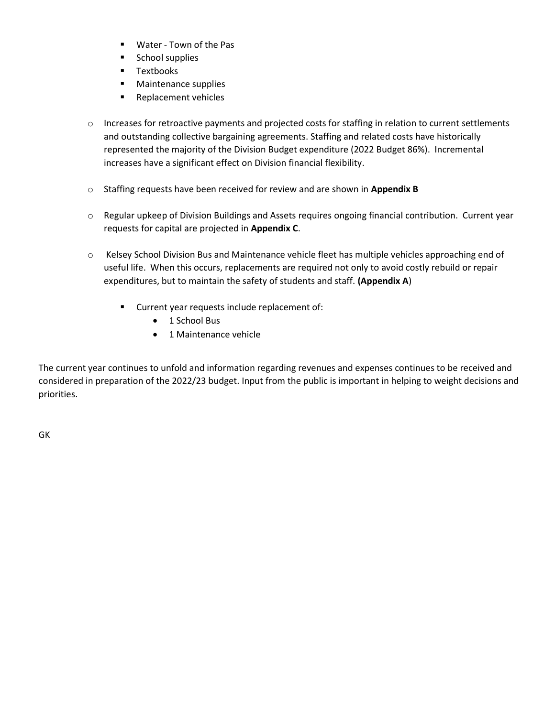- Water Town of the Pas
- **School supplies**
- **Textbooks**
- **Naintenance supplies**
- **Replacement vehicles**
- o Increases for retroactive payments and projected costs for staffing in relation to current settlements and outstanding collective bargaining agreements. Staffing and related costs have historically represented the majority of the Division Budget expenditure (2022 Budget 86%). Incremental increases have a significant effect on Division financial flexibility.
- o Staffing requests have been received for review and are shown in Appendix B
- o Regular upkeep of Division Buildings and Assets requires ongoing financial contribution. Current year requests for capital are projected in Appendix C.
- o Kelsey School Division Bus and Maintenance vehicle fleet has multiple vehicles approaching end of useful life. When this occurs, replacements are required not only to avoid costly rebuild or repair expenditures, but to maintain the safety of students and staff. (Appendix A)
	- **Current year requests include replacement of:** 
		- 1 School Bus
		- 1 Maintenance vehicle

The current year continues to unfold and information regarding revenues and expenses continues to be received and considered in preparation of the 2022/23 budget. Input from the public is important in helping to weight decisions and priorities.

GK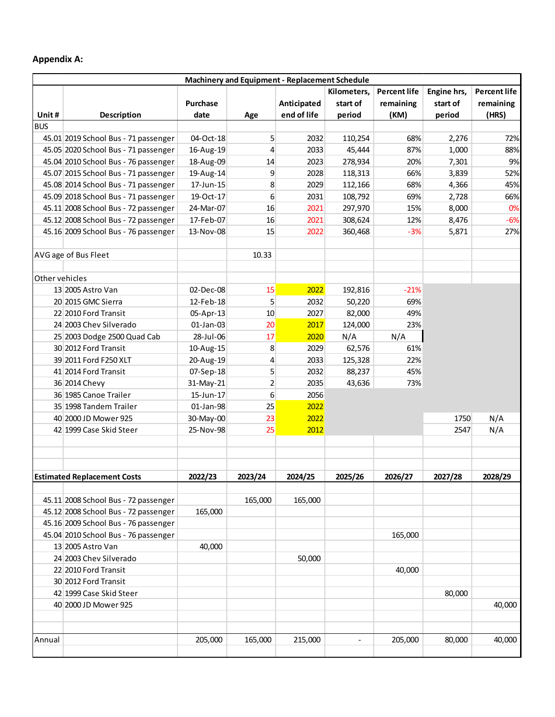## Appendix A:

| Unit#<br><b>BUS</b> |                                      | Machinery and Equipment - Replacement Schedule                           |                  |             |          |           |          |           |  |  |  |
|---------------------|--------------------------------------|--------------------------------------------------------------------------|------------------|-------------|----------|-----------|----------|-----------|--|--|--|
|                     |                                      | <b>Percent life</b><br><b>Percent life</b><br>Kilometers,<br>Engine hrs, |                  |             |          |           |          |           |  |  |  |
|                     |                                      | Purchase                                                                 |                  | Anticipated | start of | remaining | start of | remaining |  |  |  |
|                     | <b>Description</b>                   | date                                                                     | Age              | end of life | period   | (KM)      | period   | (HRS)     |  |  |  |
|                     | 45.01 2019 School Bus - 71 passenger | 04-Oct-18                                                                | 5                | 2032        | 110,254  | 68%       | 2,276    | 72%       |  |  |  |
|                     | 45.05 2020 School Bus - 71 passenger | 16-Aug-19                                                                | $\overline{4}$   | 2033        | 45,444   | 87%       | 1,000    | 88%       |  |  |  |
|                     | 45.04 2010 School Bus - 76 passenger | 18-Aug-09                                                                | 14               | 2023        | 278,934  | 20%       | 7,301    | 9%        |  |  |  |
|                     | 45.07 2015 School Bus - 71 passenger | 19-Aug-14                                                                | 9                | 2028        | 118,313  | 66%       | 3,839    | 52%       |  |  |  |
|                     | 45.08 2014 School Bus - 71 passenger | 17-Jun-15                                                                | 8                | 2029        | 112,166  | 68%       | 4,366    | 45%       |  |  |  |
|                     | 45.09 2018 School Bus - 71 passenger | 19-Oct-17                                                                | $\boldsymbol{6}$ | 2031        | 108,792  | 69%       | 2,728    | 66%       |  |  |  |
|                     | 45.11 2008 School Bus - 72 passenger | 24-Mar-07                                                                | 16               | 2021        | 297,970  | 15%       | 8,000    | 0%        |  |  |  |
|                     | 45.12 2008 School Bus - 72 passenger | 17-Feb-07                                                                | 16               | 2021        | 308,624  | 12%       | 8,476    | $-6%$     |  |  |  |
|                     | 45.16 2009 School Bus - 76 passenger | 13-Nov-08                                                                | 15               | 2022        | 360,468  | $-3%$     | 5,871    | 27%       |  |  |  |
|                     |                                      |                                                                          |                  |             |          |           |          |           |  |  |  |
|                     | AVG age of Bus Fleet                 |                                                                          | 10.33            |             |          |           |          |           |  |  |  |
|                     |                                      |                                                                          |                  |             |          |           |          |           |  |  |  |
| Other vehicles      |                                      |                                                                          |                  |             |          |           |          |           |  |  |  |
|                     | 13 2005 Astro Van                    | 02-Dec-08                                                                | 15               | 2022        | 192,816  | $-21%$    |          |           |  |  |  |
|                     | 20 2015 GMC Sierra                   | 12-Feb-18                                                                | 5 <sup>5</sup>   | 2032        | 50,220   | 69%       |          |           |  |  |  |
|                     | 22 2010 Ford Transit                 | 05-Apr-13                                                                | 10               | 2027        | 82,000   | 49%       |          |           |  |  |  |
|                     | 24 2003 Chev Silverado               | $01$ -Jan-03                                                             | 20               | 2017        | 124,000  | 23%       |          |           |  |  |  |
|                     | 25 2003 Dodge 2500 Quad Cab          | 28-Jul-06                                                                | 17               | 2020        | N/A      | N/A       |          |           |  |  |  |
|                     | 30 2012 Ford Transit                 | 10-Aug-15                                                                | $\bf 8$          | 2029        | 62,576   | 61%       |          |           |  |  |  |
|                     | 39 2011 Ford F250 XLT                | 20-Aug-19                                                                | $\overline{4}$   | 2033        | 125,328  | 22%       |          |           |  |  |  |
|                     | 41 2014 Ford Transit                 | 07-Sep-18                                                                | 5 <sup>5</sup>   | 2032        | 88,237   | 45%       |          |           |  |  |  |
|                     | 36 2014 Chevy                        | 31-May-21                                                                | $\overline{2}$   | 2035        | 43,636   | 73%       |          |           |  |  |  |
|                     | 36 1985 Canoe Trailer                | 15-Jun-17                                                                | $\sqrt{6}$       | 2056        |          |           |          |           |  |  |  |
|                     | 35 1998 Tandem Trailer               | $01$ -Jan-98                                                             | 25               | 2022        |          |           |          |           |  |  |  |
|                     | 40 2000 JD Mower 925                 | 30-May-00                                                                | 23               | 2022        |          |           | 1750     | N/A       |  |  |  |
|                     | 42 1999 Case Skid Steer              | 25-Nov-98                                                                | 25               | 2012        |          |           | 2547     | N/A       |  |  |  |
|                     |                                      |                                                                          |                  |             |          |           |          |           |  |  |  |
|                     |                                      |                                                                          |                  |             |          |           |          |           |  |  |  |
|                     | <b>Estimated Replacement Costs</b>   | 2022/23                                                                  | 2023/24          | 2024/25     | 2025/26  | 2026/27   | 2027/28  | 2028/29   |  |  |  |
|                     | 45.11 2008 School Bus - 72 passenger |                                                                          | 165,000          | 165,000     |          |           |          |           |  |  |  |
|                     | 45.12 2008 School Bus - 72 passenger | 165,000                                                                  |                  |             |          |           |          |           |  |  |  |
|                     | 45.16 2009 School Bus - 76 passenger |                                                                          |                  |             |          |           |          |           |  |  |  |
|                     | 45.04 2010 School Bus - 76 passenger |                                                                          |                  |             |          | 165,000   |          |           |  |  |  |
|                     | 13 2005 Astro Van                    | 40,000                                                                   |                  |             |          |           |          |           |  |  |  |
|                     | 24 2003 Chev Silverado               |                                                                          |                  | 50,000      |          |           |          |           |  |  |  |
|                     | 22 2010 Ford Transit                 |                                                                          |                  |             |          | 40,000    |          |           |  |  |  |
|                     | 30 2012 Ford Transit                 |                                                                          |                  |             |          |           |          |           |  |  |  |
|                     | 42 1999 Case Skid Steer              |                                                                          |                  |             |          |           | 80,000   |           |  |  |  |
|                     | 40 2000 JD Mower 925                 |                                                                          |                  |             |          |           |          | 40,000    |  |  |  |
|                     |                                      |                                                                          |                  |             |          |           |          |           |  |  |  |
|                     |                                      |                                                                          |                  |             |          |           |          |           |  |  |  |
| Annual              |                                      | 205,000                                                                  | 165,000          | 215,000     | $\sim$   | 205,000   | 80,000   | 40,000    |  |  |  |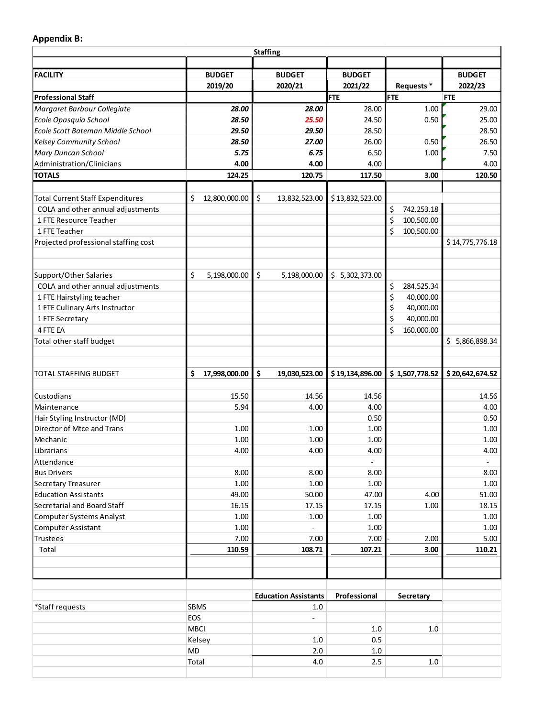## Appendix B:

|                                                                       |                                | <b>Staffing</b>                        |                              |                  |                 |
|-----------------------------------------------------------------------|--------------------------------|----------------------------------------|------------------------------|------------------|-----------------|
| <b>FACILITY</b>                                                       | <b>BUDGET</b>                  | <b>BUDGET</b>                          | <b>BUDGET</b>                |                  | <b>BUDGET</b>   |
|                                                                       | 2019/20                        | 2020/21                                | 2021/22                      | Requests *       | 2022/23         |
| <b>Professional Staff</b>                                             |                                |                                        | <b>FTE</b>                   | <b>FTE</b>       | <b>FTE</b>      |
| Margaret Barbour Collegiate                                           | 28.00                          | 28.00                                  | 28.00                        | 1.00             | 29.00           |
| Ecole Opasquia School                                                 | 28.50                          | 25.50                                  | 24.50                        | 0.50             | 25.00           |
| Ecole Scott Bateman Middle School                                     | 29.50                          | 29.50                                  | 28.50                        |                  | 28.50           |
| <b>Kelsey Community School</b>                                        | 28.50<br>5.75                  | 27.00<br>6.75                          | 26.00<br>6.50                | 0.50<br>1.00     | 26.50<br>7.50   |
| Mary Duncan School<br>Administration/Clinicians                       | 4.00                           | 4.00                                   | 4.00                         |                  | 4.00            |
| <b>TOTALS</b>                                                         | 124.25                         | 120.75                                 | 117.50                       | 3.00             | 120.50          |
|                                                                       |                                |                                        |                              |                  |                 |
| Total Current Staff Expenditures<br>COLA and other annual adjustments | $\frac{1}{2}$ 12,800,000.00 \$ | 13,832,523.00                          | \$13,832,523.00              | \$<br>742,253.18 |                 |
| 1 FTE Resource Teacher                                                |                                |                                        |                              | \$<br>100,500.00 |                 |
| 1 FTE Teacher                                                         |                                |                                        |                              | \$<br>100,500.00 |                 |
| Projected professional staffing cost                                  |                                |                                        |                              |                  | \$14,775,776.18 |
|                                                                       |                                |                                        |                              |                  |                 |
| Support/Other Salaries<br>COLA and other annual adjustments           | 5,198,000.00 $\vert$ \$<br>\$  |                                        | 5,198,000.00 \$ 5,302,373.00 | \$<br>284,525.34 |                 |
| 1 FTE Hairstyling teacher                                             |                                |                                        |                              | \$<br>40,000.00  |                 |
| 1 FTE Culinary Arts Instructor                                        |                                |                                        |                              | \$<br>40,000.00  |                 |
| 1 FTE Secretary                                                       |                                |                                        |                              | \$<br>40,000.00  |                 |
| 4 FTE EA                                                              |                                |                                        |                              | \$<br>160,000.00 |                 |
| Total other staff budget                                              |                                |                                        |                              |                  | \$5,866,898.34  |
| <b>TOTAL STAFFING BUDGET</b>                                          | \$<br>17,998,000.00 \$         | 19,030,523.00                          | \$19,134,896.00              | 51,507,778.52    | \$20,642,674.52 |
|                                                                       |                                |                                        |                              |                  |                 |
| Custodians                                                            | 15.50                          | 14.56                                  | 14.56                        |                  | 14.56           |
| Maintenance                                                           | 5.94                           | 4.00                                   | 4.00                         |                  | 4.00            |
| Hair Styling Instructor (MD)<br>Director of Mtce and Trans            | 1.00                           | 1.00                                   | 0.50<br>1.00                 |                  | 0.50<br>1.00    |
| Mechanic                                                              | 1.00                           | 1.00                                   | 1.00                         |                  | 1.00            |
| Librarians                                                            | 4.00                           | 4.00                                   | 4.00                         |                  | 4.00            |
| Attendance                                                            |                                |                                        | $\sim$                       |                  | $\sim$          |
| <b>Bus Drivers</b>                                                    | 8.00                           | 8.00                                   | 8.00                         |                  | 8.00            |
| Secretary Treasurer                                                   | 1.00                           | 1.00                                   | 1.00                         |                  | 1.00            |
| <b>Education Assistants</b>                                           | 49.00                          | 50.00                                  | 47.00                        | 4.00             | 51.00           |
| Secretarial and Board Staff                                           | 16.15                          | 17.15                                  | 17.15                        | 1.00             | 18.15           |
| Computer Systems Analyst                                              | 1.00                           | 1.00                                   | 1.00                         |                  | 1.00            |
| Computer Assistant                                                    | 1.00<br>7.00                   | $\sim$<br>7.00                         | 1.00<br>7.00                 | 2.00             | 1.00<br>5.00    |
| Trustees<br>Total                                                     | 110.59                         | 108.71                                 | 107.21                       | 3.00             | 110.21          |
|                                                                       |                                |                                        |                              |                  |                 |
|                                                                       |                                |                                        |                              |                  |                 |
| *Staff requests                                                       | <b>SBMS</b>                    | <b>Education Assistants</b><br>$1.0\,$ | Professional                 | Secretary        |                 |
|                                                                       | EOS                            | $\sim$                                 |                              |                  |                 |
|                                                                       | MBCI                           |                                        | $1.0\,$                      | $1.0\,$          |                 |
|                                                                       | Kelsey                         | $1.0\,$                                | 0.5                          |                  |                 |
|                                                                       | MD                             | $2.0\,$                                | $1.0\,$                      |                  |                 |
|                                                                       | Total                          | 4.0                                    | 2.5                          | $1.0\,$          |                 |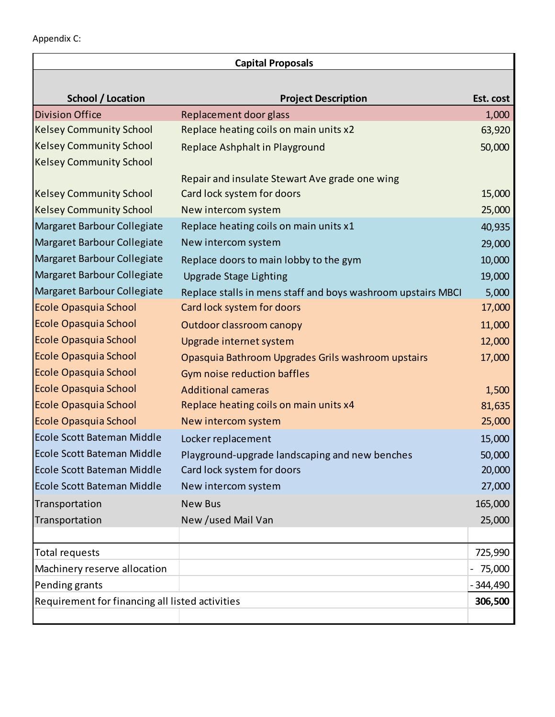| <b>Capital Proposals</b>                        |                                                              |           |  |  |  |  |  |
|-------------------------------------------------|--------------------------------------------------------------|-----------|--|--|--|--|--|
| School / Location                               | <b>Project Description</b>                                   | Est. cost |  |  |  |  |  |
| <b>Division Office</b>                          | Replacement door glass                                       | 1,000     |  |  |  |  |  |
| <b>Kelsey Community School</b>                  | Replace heating coils on main units x2                       | 63,920    |  |  |  |  |  |
| <b>Kelsey Community School</b>                  | Replace Ashphalt in Playground                               | 50,000    |  |  |  |  |  |
| <b>Kelsey Community School</b>                  |                                                              |           |  |  |  |  |  |
|                                                 | Repair and insulate Stewart Ave grade one wing               |           |  |  |  |  |  |
| <b>Kelsey Community School</b>                  | Card lock system for doors                                   | 15,000    |  |  |  |  |  |
| <b>Kelsey Community School</b>                  | New intercom system                                          | 25,000    |  |  |  |  |  |
| Margaret Barbour Collegiate                     | Replace heating coils on main units x1                       | 40,935    |  |  |  |  |  |
| Margaret Barbour Collegiate                     | New intercom system                                          | 29,000    |  |  |  |  |  |
| Margaret Barbour Collegiate                     | Replace doors to main lobby to the gym                       | 10,000    |  |  |  |  |  |
| Margaret Barbour Collegiate                     | <b>Upgrade Stage Lighting</b>                                | 19,000    |  |  |  |  |  |
| Margaret Barbour Collegiate                     | Replace stalls in mens staff and boys washroom upstairs MBCI | 5,000     |  |  |  |  |  |
| <b>Ecole Opasquia School</b>                    | Card lock system for doors                                   | 17,000    |  |  |  |  |  |
| <b>Ecole Opasquia School</b>                    | Outdoor classroom canopy                                     | 11,000    |  |  |  |  |  |
| <b>Ecole Opasquia School</b>                    | Upgrade internet system                                      | 12,000    |  |  |  |  |  |
| <b>Ecole Opasquia School</b>                    | Opasquia Bathroom Upgrades Grils washroom upstairs           | 17,000    |  |  |  |  |  |
| <b>Ecole Opasquia School</b>                    | Gym noise reduction baffles                                  |           |  |  |  |  |  |
| <b>Ecole Opasquia School</b>                    | <b>Additional cameras</b>                                    | 1,500     |  |  |  |  |  |
| <b>Ecole Opasquia School</b>                    | Replace heating coils on main units x4                       | 81,635    |  |  |  |  |  |
| <b>Ecole Opasquia School</b>                    | New intercom system                                          | 25,000    |  |  |  |  |  |
| Ecole Scott Bateman Middle                      | Locker replacement                                           | 15,000    |  |  |  |  |  |
| Ecole Scott Bateman Middle                      | Playground-upgrade landscaping and new benches               | 50,000    |  |  |  |  |  |
| Ecole Scott Bateman Middle                      | Card lock system for doors                                   | 20,000    |  |  |  |  |  |
| Ecole Scott Bateman Middle                      | New intercom system                                          | 27,000    |  |  |  |  |  |
| Transportation                                  | <b>New Bus</b>                                               | 165,000   |  |  |  |  |  |
| Transportation                                  | New /used Mail Van                                           | 25,000    |  |  |  |  |  |
| <b>Total requests</b>                           |                                                              | 725,990   |  |  |  |  |  |
| Machinery reserve allocation                    |                                                              | 75,000    |  |  |  |  |  |
| Pending grants                                  |                                                              | - 344,490 |  |  |  |  |  |
| Requirement for financing all listed activities |                                                              | 306,500   |  |  |  |  |  |